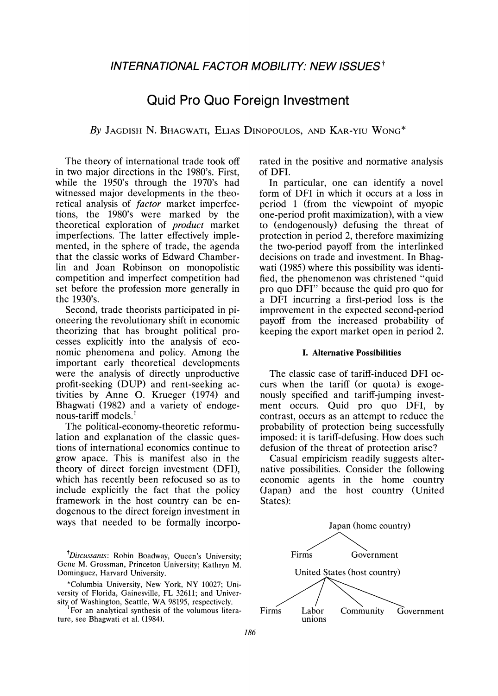## **INTERNATIONAL FACTOR MOBILITY: NEW ISSUES<sup>†</sup>**

# **Quid Pro Quo Foreign Investment**

### **By JAGDISH N. BHAGWATI, ELIAS DINOPOULOS, AND KAR-YIU WONG\***

**The theory of international trade took off in two major directions in the 1980's. First, while the 1950's through the 1970's had witnessed major developments in the theoretical analysis of factor market imperfections, the 1980's were marked by the theoretical exploration of product market imperfections. The latter effectively implemented, in the sphere of trade, the agenda that the classic works of Edward Chamberlin and Joan Robinson on monopolistic competition and imperfect competition had set before the profession more generally in the 1930's.** 

**Second, trade theorists participated in pioneering the revolutionary shift in economic theorizing that has brought political processes explicitly into the analysis of economic phenomena and policy. Among the important early theoretical developments were the analysis of directly unproductive profit-seeking (DUP) and rent-seeking activities by Anne 0. Krueger (1974) and Bhagwati (1982) and a variety of endogenous-tariff models.1** 

**The political-economy-theoretic reformulation and explanation of the classic questions of international economics continue to grow apace. This is manifest also in the theory of direct foreign investment (DFI), which has recently been refocused so as to include explicitly the fact that the policy framework in the host country can be endogenous to the direct foreign investment in ways that needed to be formally incorpo-**

**tDiscussants: Robin Boadway, Queen's University; Gene M. Grossman, Princeton University; Kathryn M. Dominguez, Harvard University.** 

**1For an analytical synthesis of the volumous literature, see Bhagwati et al. (1984).** 

**rated in the positive and normative analysis of DFI.** 

**In particular, one can identify a novel form of DFI in which it occurs at a loss in period 1 (from the viewpoint of myopic one-period profit maximization), with a view to (endogenously) defusing the threat of protection in period 2, therefore maximizing the two-period payoff from the interlinked decisions on trade and investment. In Bhagwati (1985) where this possibility was identified, the phenomenon was christened "quid pro quo DFI" because the quid pro quo for a DFI incurring a first-period loss is the improvement in the expected second-period payoff from the increased probability of keeping the export market open in period 2.** 

#### **I. Alternative Possibilities**

**The classic case of tariff-induced DFI occurs when the tariff (or quota) is exogenously specified and tariff-jumping investment occurs. Quid pro quo DFI, by contrast, occurs as an attempt to reduce the probability of protection being successfully imposed: it is tariff-defusing. How does such defusion of the threat of protection arise?** 

**Casual empiricism readily suggests alternative possibilities. Consider the following economic agents in the home country (Japan) and the host country (United States):** 



**<sup>\*</sup>Columbia University, New York, NY 10027; University of Florida, Gainesville, FL 32611; and University of Washington, Seattle, WA 98195, respectively.**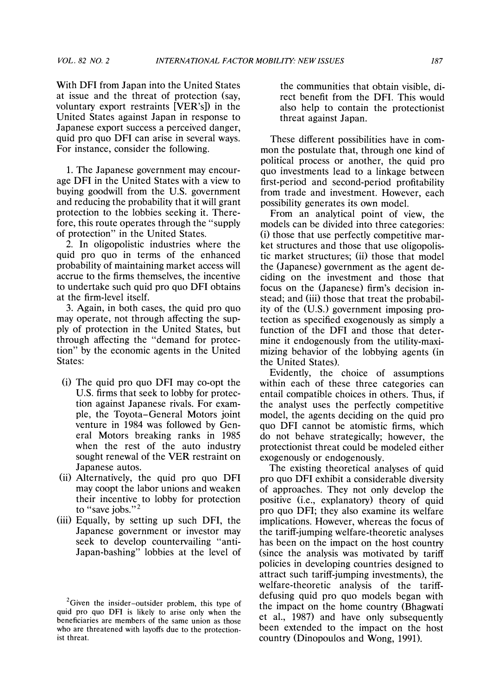**With DFI from Japan into the United States at issue and the threat of protection (say, voluntary export restraints [VER's]) in the United States against Japan in response to Japanese export success a perceived danger, quid pro quo DFI can arise in several ways. For instance, consider the following.** 

**1. The Japanese government may encourage DFI in the United States with a view to buying goodwill from the U.S. government and reducing the probability that it will grant protection to the lobbies seeking it. Therefore, this route operates through the "supply of protection" in the United States.** 

**2. In oligopolistic industries where the quid pro quo in terms of the enhanced probability of maintaining market access will accrue to the firms themselves, the incentive to undertake such quid pro quo DFI obtains at the firm-level itself.** 

**3. Again, in both cases, the quid pro quo may operate, not through affecting the supply of protection in the United States, but through affecting the "demand for protection" by the economic agents in the United States:** 

- **(i) The quid pro quo DFI may co-opt the U.S. firms that seek to lobby for protection against Japanese rivals. For example, the Toyota-General Motors joint venture in 1984 was followed by General Motors breaking ranks in 1985 when the rest of the auto industry sought renewal of the VER restraint on Japanese autos.**
- **(ii) Alternatively, the quid pro quo DFI may coopt the labor unions and weaken their incentive to lobby for protection to "save jobs."2**
- **(iii) Equally, by setting up such DFI, the Japanese government or investor may seek to develop countervailing "anti-Japan-bashing" lobbies at the level of**

**the communities that obtain visible, direct benefit from the DFI. This would also help to contain the protectionist threat against Japan.** 

**These different possibilities have in common the postulate that, through one kind of political process or another, the quid pro quo investments lead to a linkage between first-period and second-period profitability from trade and investment. However, each possibility generates its own model.** 

**From an analytical point of view, the models can be divided into three categories: (i) those that use perfectly competitive market structures and those that use oligopolistic market structures; (ii) those that model the (Japanese) government as the agent deciding on the investment and those that focus on the (Japanese) firm's decision instead; and (iii) those that treat the probability of the (U.S.) government imposing protection as specified exogenously as simply a function of the DFI and those that determine it endogenously from the utility-maximizing behavior of the lobbying agents (in the United States).** 

**Evidently, the choice of assumptions within each of these three categories can entail compatible choices in others. Thus, if the analyst uses the perfectly competitive model, the agents deciding on the quid pro quo DFI cannot be atomistic firms, which do not behave strategically; however, the protectionist threat could be modeled either exogenously or endogenously.** 

**The existing theoretical analyses of quid pro quo DFI exhibit a considerable diversity of approaches. They not only develop the positive (i.e., explanatory) theory of quid pro quo DFI; they also examine its welfare implications. However, whereas the focus of the tariff-jumping welfare-theoretic analyses has been on the impact on the host country (since the analysis was motivated by tariff policies in developing countries designed to attract such tariff-jumping investments), the welfare-theoretic analysis of the tariffdefusing quid pro quo models began with the impact on the home country (Bhagwati et al., 1987) and have only subsequently been extended to the impact on the host country (Dinopoulos and Wong, 1991).** 

**<sup>2</sup>Given the insider-outsider problem, this type of quid pro quo DFI is likely to arise only when the beneficiaries are members of the same union as those who are threatened with layoffs due to the protectionist threat.**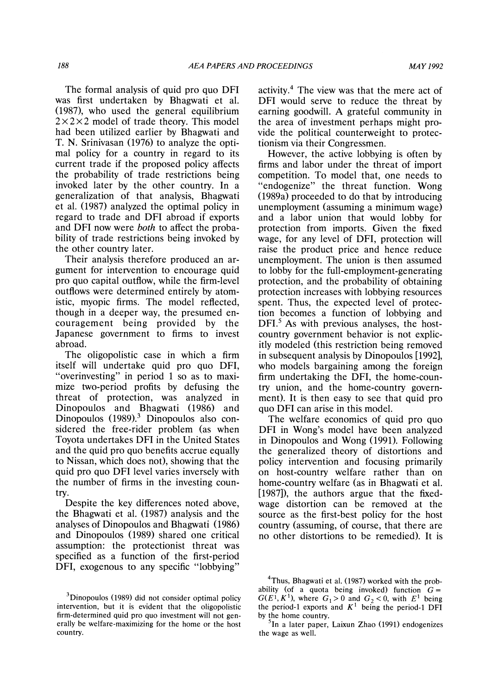**The formal analysis of quid pro quo DFI was first undertaken by Bhagwati et al. (1987), who used the general equilibrium 2x2x2 model of trade theory. This model had been utilized earlier by Bhagwati and T. N. Srinivasan (1976) to analyze the optimal policy for a country in regard to its current trade if the proposed policy affects the probability of trade restrictions being invoked later by the other country. In a generalization of that analysis, Bhagwati et al. (1987) analyzed the optimal policy in regard to trade and DFI abroad if exports and DFI now were both to affect the probability of trade restrictions being invoked by the other country later.** 

**Their analysis therefore produced an argument for intervention to encourage quid pro quo capital outflow, while the firm-level outflows were determined entirely by atomistic, myopic firms. The model reflected, though in a deeper way, the presumed encouragement being provided by the Japanese government to firms to invest abroad.** 

**The oligopolistic case in which a firm itself will undertake quid pro quo DFI, "overinvesting" in period 1 so as to maximize two-period profits by defusing the threat of protection, was analyzed in Dinopoulos and Bhagwati (1986) and Dinopoulos (1989).3 Dinopoulos also considered the free-rider problem (as when Toyota undertakes DFI in the United States and the quid pro quo benefits accrue equally to Nissan, which does not), showing that the quid pro quo DFI level varies inversely with the number of firms in the investing country.** 

**Despite the key differences noted above, the Bhagwati et al. (1987) analysis and the analyses of Dinopoulos and Bhagwati (1986) and Dinopoulos (1989) shared one critical assumption: the protectionist threat was specified as a function of the first-period DFI, exogenous to any specific "lobbying"** 

**activity.4 The view was that the mere act of DFI would serve to reduce the threat by earning goodwill. A grateful community in the area of investment perhaps might provide the political counterweight to protectionism via their Congressmen.** 

**However, the active lobbying is often by firms and labor under the threat of import competition. To model that, one needs to "endogenize" the threat function. Wong (1989a) proceeded to do that by introducing unemployment (assuming a minimum wage) and a labor union that would lobby for protection from imports. Given the fixed wage, for any level of DFI, protection will raise the product price and hence reduce unemployment. The union is then assumed to lobby for the full-employment-generating protection, and the probability of obtaining protection increases with lobbying resources spent. Thus, the expected level of protection becomes a function of lobbying and**  DFI.<sup>5</sup> As with previous analyses, the host**country government behavior is not explicitly modeled (this restriction being removed in subsequent analysis by Dinopoulos [1992], who models bargaining among the foreign firm undertaking the DFI, the home-country union, and the home-country government). It is then easy to see that quid pro quo DFI can arise in this model.** 

**The welfare economics of quid pro quo DFI in Wong's model have been analyzed in Dinopoulos and Wong (1991). Following the generalized theory of distortions and policy intervention and focusing primarily on host-country welfare rather than on home-country welfare (as in Bhagwati et al. [1987]), the authors argue that the fixedwage distortion can be removed at the source as the first-best policy for the host country (assuming, of course, that there are no other distortions to be remedied). It is** 

**<sup>3</sup>Dinopoulos (1989) did not consider optimal policy intervention, but it is evident that the oligopolistic firm-determined quid pro quo investment will not generally be welfare-maximizing for the home or the host country.** 

**<sup>4</sup>Thus, Bhagwati et al. (1987) worked with the prob**ability (of a quota being invoked) function  $G =$  $G(E^1, K^1)$ , where  $G_1 > 0$  and  $G_2 < 0$ , with  $E^1$  being the period-1 exports and  $K^1$  being the period-1 DFI **by the home country.** 

**<sup>5</sup>In a later paper, Laixun Zhao (1991) endogenizes the wage as well.**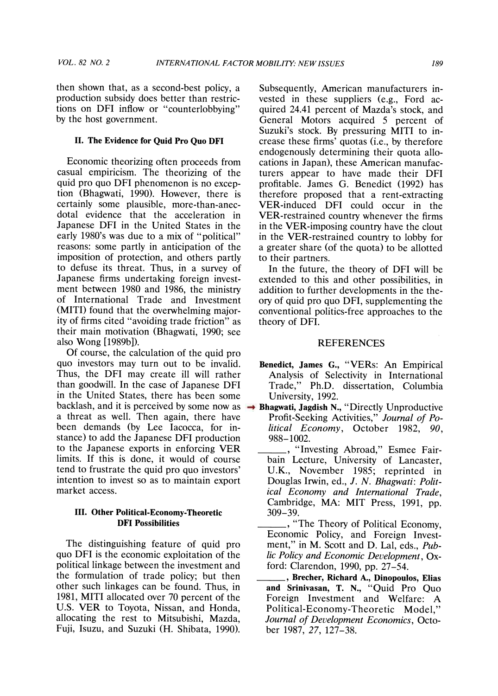**then shown that, as a second-best policy, a production subsidy does better than restrictions on DFI inflow or "counterlobbying" by the host government.** 

#### **II. The Evidence for Quid Pro Quo DFI**

**Economic theorizing often proceeds from casual empiricism. The theorizing of the quid pro quo DFI phenomenon is no exception (Bhagwati, 1990). However, there is certainly some plausible, more-than-anecdotal evidence that the acceleration in Japanese DFI in the United States in the early 1980's was due to a mix of "political" reasons: some partly in anticipation of the imposition of protection, and others partly to defuse its threat. Thus, in a survey of Japanese firms undertaking foreign investment between 1980 and 1986, the ministry of International Trade and Investment (MITI) found that the overwhelming majority of firms cited "avoiding trade friction" as their main motivation (Bhagwati, 1990; see also Wong [1989b]).** 

**Of course, the calculation of the quid pro quo investors may turn out to be invalid. Thus, the DFI may create ill will rather than goodwill. In the case of Japanese DFI in the United States, there has been some backlash, and it is perceived by some now as a threat as well. Then again, there have been demands (by Lee Iacocca, for instance) to add the Japanese DFI production to the Japanese exports in enforcing VER limits. If this is done, it would of course tend to frustrate the quid pro quo investors' intention to invest so as to maintain export market access.** 

#### **III. Other Political-Economy-Theoretic DFI Possibilities**

**The distinguishing feature of quid pro quo DFI is the economic exploitation of the political linkage between the investment and the formulation of trade policy; but then other such linkages can be found. Thus, in 1981, MITI allocated over 70 percent of the U.S. VER to Toyota, Nissan, and Honda, allocating the rest to Mitsubishi, Mazda, Fuji, Isuzu, and Suzuki (H. Shibata, 1990).** 

**Subsequently, American manufacturers invested in these suppliers (e.g., Ford acquired 24.41 percent of Mazda's stock, and General Motors acquired 5 percent of Suzuki's stock. By pressuring MITI to increase these firms' quotas (i.e., by therefore endogenously determining their quota allocations in Japan), these American manufacturers appear to have made their DFI profitable. James G. Benedict (1992) has therefore proposed that a rent-extracting VER-induced DFI could occur in the VER-restrained country whenever the firms in the VER-imposing country have the clout in the VER-restrained country to lobby for a greater share (of the quota) to be allotted to their partners.** 

**In the future, the theory of DFI will be extended to this and other possibilities, in addition to further developments in the theory of quid pro quo DFI, supplementing the conventional politics-free approaches to the theory of DFI.** 

#### **REFERENCES**

- **Benedict, James G., " VERs: An Empirical Analysis of Selectivity in International Trade," Ph.D. dissertation, Columbia University, 1992.**
- **→ Bhagwati, Jagdish N., "Directly Unproductive Profit-Seeking Activities," Journal of Political Economy, October 1982, 90, 988-1002.** 
	- **, "Investing Abroad," Esmee Fairbain Lecture, University of Lancaster, U.K., November 1985; reprinted in Douglas Irwin, ed., J. N. Bhagwati: Political Economy and International Trade, Cambridge, MA: MIT Press, 1991, pp. 309-39.**
	- **, "The Theory of Political Economy, Economic Policy, and Foreign Invest**ment," in M. Scott and D. Lal, eds., Pub**lic Policy and Economic Development, Oxford: Clarendon, 1990, pp. 27-54.**
	- **, Brecher, Richard A., Dinopoulos, Elias and Srinivasan, T. N., "Quid Pro Quo Foreign Investment and Welfare: A Political-Economy-Theoretic Model," Journal of Development Economics, October 1987, 27, 127-38.**